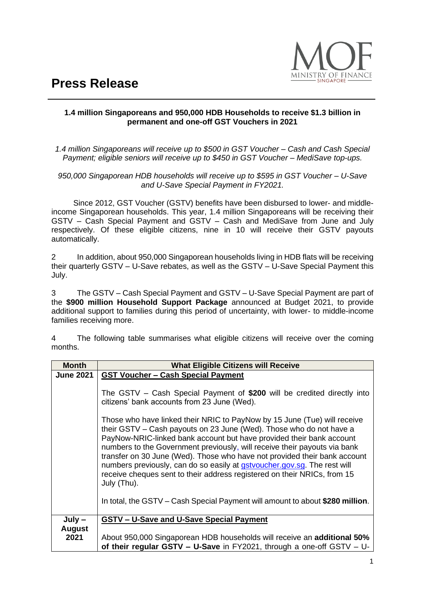



### **1.4 million Singaporeans and 950,000 HDB Households to receive \$1.3 billion in permanent and one-off GST Vouchers in 2021**

*1.4 million Singaporeans will receive up to \$500 in GST Voucher – Cash and Cash Special Payment; eligible seniors will receive up to \$450 in GST Voucher – MediSave top-ups.*

*950,000 Singaporean HDB households will receive up to \$595 in GST Voucher – U-Save and U-Save Special Payment in FY2021.*

 Since 2012, GST Voucher (GSTV) benefits have been disbursed to lower- and middleincome Singaporean households. This year, 1.4 million Singaporeans will be receiving their GSTV – Cash Special Payment and GSTV – Cash and MediSave from June and July respectively. Of these eligible citizens, nine in 10 will receive their GSTV payouts automatically.

2 In addition, about 950,000 Singaporean households living in HDB flats will be receiving their quarterly GSTV – U-Save rebates, as well as the GSTV – U-Save Special Payment this July.

3 The GSTV – Cash Special Payment and GSTV – U-Save Special Payment are part of the **\$900 million Household Support Package** announced at Budget 2021, to provide additional support to families during this period of uncertainty, with lower- to middle-income families receiving more.

4 The following table summarises what eligible citizens will receive over the coming months.

| <b>Month</b>          | <b>What Eligible Citizens will Receive</b>                                                                                                                                                                                                                                                                                                                                                                                                                                                                                                                                                                                                                                                                                                                            |
|-----------------------|-----------------------------------------------------------------------------------------------------------------------------------------------------------------------------------------------------------------------------------------------------------------------------------------------------------------------------------------------------------------------------------------------------------------------------------------------------------------------------------------------------------------------------------------------------------------------------------------------------------------------------------------------------------------------------------------------------------------------------------------------------------------------|
| <b>June 2021</b>      | <b>GST Voucher - Cash Special Payment</b>                                                                                                                                                                                                                                                                                                                                                                                                                                                                                                                                                                                                                                                                                                                             |
|                       | The GSTV $-$ Cash Special Payment of \$200 will be credited directly into<br>citizens' bank accounts from 23 June (Wed).<br>Those who have linked their NRIC to PayNow by 15 June (Tue) will receive<br>their GSTV – Cash payouts on 23 June (Wed). Those who do not have a<br>PayNow-NRIC-linked bank account but have provided their bank account<br>numbers to the Government previously, will receive their payouts via bank<br>transfer on 30 June (Wed). Those who have not provided their bank account<br>numbers previously, can do so easily at gstvoucher.gov.sg. The rest will<br>receive cheques sent to their address registered on their NRICs, from 15<br>July (Thu).<br>In total, the GSTV – Cash Special Payment will amount to about \$280 million. |
| $July -$              | <b>GSTV – U-Save and U-Save Special Payment</b>                                                                                                                                                                                                                                                                                                                                                                                                                                                                                                                                                                                                                                                                                                                       |
| <b>August</b><br>2021 |                                                                                                                                                                                                                                                                                                                                                                                                                                                                                                                                                                                                                                                                                                                                                                       |
|                       | About 950,000 Singaporean HDB households will receive an additional 50%<br>of their regular GSTV - U-Save in $FY2021$ , through a one-off GSTV - U-                                                                                                                                                                                                                                                                                                                                                                                                                                                                                                                                                                                                                   |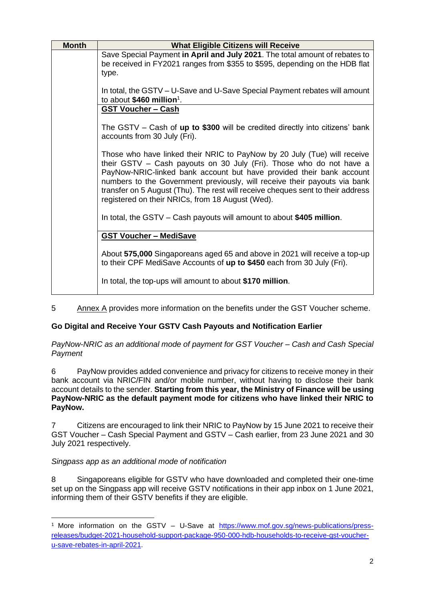| <b>Month</b> | <b>What Eligible Citizens will Receive</b>                                                                                                                                                                                                                                                                                                                                                                                                  |
|--------------|---------------------------------------------------------------------------------------------------------------------------------------------------------------------------------------------------------------------------------------------------------------------------------------------------------------------------------------------------------------------------------------------------------------------------------------------|
|              | Save Special Payment in April and July 2021. The total amount of rebates to<br>be received in FY2021 ranges from \$355 to \$595, depending on the HDB flat<br>type.                                                                                                                                                                                                                                                                         |
|              | In total, the GSTV – U-Save and U-Save Special Payment rebates will amount<br>to about \$460 million <sup>1</sup> .                                                                                                                                                                                                                                                                                                                         |
|              | <b>GST Voucher - Cash</b>                                                                                                                                                                                                                                                                                                                                                                                                                   |
|              | The GSTV – Cash of $up$ to \$300 will be credited directly into citizens' bank<br>accounts from 30 July (Fri).                                                                                                                                                                                                                                                                                                                              |
|              | Those who have linked their NRIC to PayNow by 20 July (Tue) will receive<br>their GSTV - Cash payouts on 30 July (Fri). Those who do not have a<br>PayNow-NRIC-linked bank account but have provided their bank account<br>numbers to the Government previously, will receive their payouts via bank<br>transfer on 5 August (Thu). The rest will receive cheques sent to their address<br>registered on their NRICs, from 18 August (Wed). |
|              | In total, the GSTV $-$ Cash payouts will amount to about \$405 million.                                                                                                                                                                                                                                                                                                                                                                     |
|              | <b>GST Voucher - MediSave</b>                                                                                                                                                                                                                                                                                                                                                                                                               |
|              | About 575,000 Singaporeans aged 65 and above in 2021 will receive a top-up<br>to their CPF MediSave Accounts of up to \$450 each from 30 July (Fri).                                                                                                                                                                                                                                                                                        |
|              | In total, the top-ups will amount to about \$170 million.                                                                                                                                                                                                                                                                                                                                                                                   |

5 Annex A provides more information on the benefits under the GST Voucher scheme.

# **Go Digital and Receive Your GSTV Cash Payouts and Notification Earlier**

*PayNow-NRIC as an additional mode of payment for GST Voucher – Cash and Cash Special Payment*

6 PayNow provides added convenience and privacy for citizens to receive money in their bank account via NRIC/FIN and/or mobile number, without having to disclose their bank account details to the sender. **Starting from this year, the Ministry of Finance will be using PayNow-NRIC as the default payment mode for citizens who have linked their NRIC to PayNow.**

7 Citizens are encouraged to link their NRIC to PayNow by 15 June 2021 to receive their GST Voucher – Cash Special Payment and GSTV – Cash earlier, from 23 June 2021 and 30 July 2021 respectively.

#### *Singpass app as an additional mode of notification*

8 Singaporeans eligible for GSTV who have downloaded and completed their one-time set up on the Singpass app will receive GSTV notifications in their app inbox on 1 June 2021, informing them of their GSTV benefits if they are eligible.

<sup>&</sup>lt;sup>1</sup> More information on the GSTV – U-Save at [https://www.mof.gov.sg/news-publications/press](https://www.mof.gov.sg/news-publications/press-releases/budget-2021-household-support-package-950-000-hdb-households-to-receive-gst-voucher-u-save-rebates-in-april-2021)[releases/budget-2021-household-support-package-950-000-hdb-households-to-receive-gst-voucher](https://www.mof.gov.sg/news-publications/press-releases/budget-2021-household-support-package-950-000-hdb-households-to-receive-gst-voucher-u-save-rebates-in-april-2021)[u-save-rebates-in-april-2021.](https://www.mof.gov.sg/news-publications/press-releases/budget-2021-household-support-package-950-000-hdb-households-to-receive-gst-voucher-u-save-rebates-in-april-2021)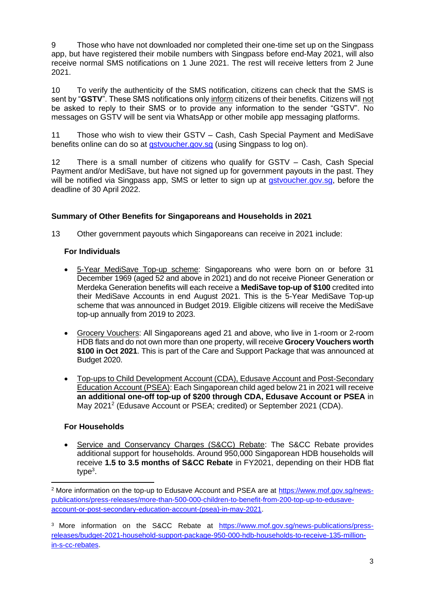9 Those who have not downloaded nor completed their one-time set up on the Singpass app, but have registered their mobile numbers with Singpass before end-May 2021, will also receive normal SMS notifications on 1 June 2021. The rest will receive letters from 2 June 2021.

10 To verify the authenticity of the SMS notification, citizens can check that the SMS is sent by "**GSTV**". These SMS notifications only inform citizens of their benefits. Citizens will not be asked to reply to their SMS or to provide any information to the sender "GSTV". No messages on GSTV will be sent via WhatsApp or other mobile app messaging platforms.

11 Those who wish to view their GSTV – Cash, Cash Special Payment and MediSave benefits online can do so at [gstvoucher.gov.sg](http://gstvoucher.gov.sg/) (using Singpass to log on).

12 There is a small number of citizens who qualify for GSTV – Cash, Cash Special Payment and/or MediSave, but have not signed up for government payouts in the past. They will be notified via Singpass app, SMS or letter to sign up at [gstvoucher.gov.sg,](http://gstvoucher.gov.sg/) before the deadline of 30 April 2022.

# **Summary of Other Benefits for Singaporeans and Households in 2021**

13 Other government payouts which Singaporeans can receive in 2021 include:

### **For Individuals**

- 5-Year MediSave Top-up scheme: Singaporeans who were born on or before 31 December 1969 (aged 52 and above in 2021) and do not receive Pioneer Generation or Merdeka Generation benefits will each receive a **MediSave top-up of \$100** credited into their MediSave Accounts in end August 2021. This is the 5-Year MediSave Top-up scheme that was announced in Budget 2019. Eligible citizens will receive the MediSave top-up annually from 2019 to 2023.
- Grocery Vouchers: All Singaporeans aged 21 and above, who live in 1-room or 2-room HDB flats and do not own more than one property, will receive **Grocery Vouchers worth \$100 in Oct 2021**. This is part of the Care and Support Package that was announced at Budget 2020.
- Top-ups to Child Development Account (CDA), Edusave Account and Post-Secondary Education Account (PSEA): Each Singaporean child aged below 21 in 2021 will receive **an additional one-off top-up of \$200 through CDA, Edusave Account or PSEA** in May 2021 2 (Edusave Account or PSEA; credited) or September 2021 (CDA).

#### **For Households**

• Service and Conservancy Charges (S&CC) Rebate: The S&CC Rebate provides additional support for households. Around 950,000 Singaporean HDB households will receive **1.5 to 3.5 months of S&CC Rebate** in FY2021, depending on their HDB flat type<sup>3</sup>.

<sup>&</sup>lt;sup>2</sup> More information on the top-up to Edusave Account and PSEA are at [https://www.mof.gov.sg/news](https://www.mof.gov.sg/news-publications/press-releases/more-than-500-000-children-to-benefit-from-200-top-up-to-edusave-account-or-post-secondary-education-account-(psea)-in-may-2021)[publications/press-releases/more-than-500-000-children-to-benefit-from-200-top-up-to-edusave](https://www.mof.gov.sg/news-publications/press-releases/more-than-500-000-children-to-benefit-from-200-top-up-to-edusave-account-or-post-secondary-education-account-(psea)-in-may-2021)[account-or-post-secondary-education-account-\(psea\)-in-may-2021.](https://www.mof.gov.sg/news-publications/press-releases/more-than-500-000-children-to-benefit-from-200-top-up-to-edusave-account-or-post-secondary-education-account-(psea)-in-may-2021)

<sup>&</sup>lt;sup>3</sup> More information on the S&CC Rebate at [https://www.mof.gov.sg/news-publications/press](https://www.mof.gov.sg/news-publications/press-releases/budget-2021-household-support-package-950-000-hdb-households-to-receive-135-million-in-s-cc-rebates)[releases/budget-2021-household-support-package-950-000-hdb-households-to-receive-135-million](https://www.mof.gov.sg/news-publications/press-releases/budget-2021-household-support-package-950-000-hdb-households-to-receive-135-million-in-s-cc-rebates)[in-s-cc-rebates.](https://www.mof.gov.sg/news-publications/press-releases/budget-2021-household-support-package-950-000-hdb-households-to-receive-135-million-in-s-cc-rebates)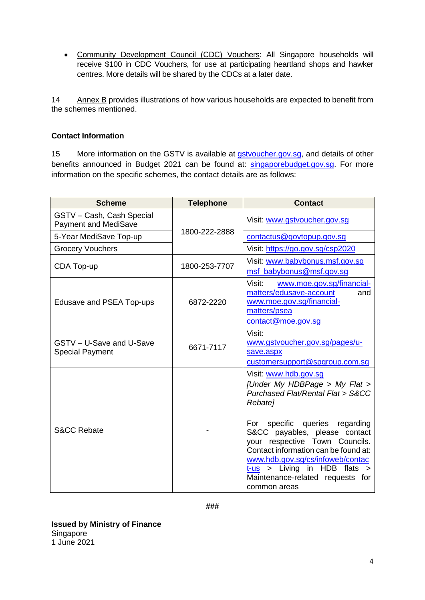• Community Development Council (CDC) Vouchers: All Singapore households will receive \$100 in CDC Vouchers, for use at participating heartland shops and hawker centres. More details will be shared by the CDCs at a later date.

14 Annex B provides illustrations of how various households are expected to benefit from the schemes mentioned.

# **Contact Information**

15 More information on the GSTV is available at [gstvoucher.gov.sg,](http://gstvoucher.gov.sg/) and details of other benefits announced in Budget 2021 can be found at: **singaporebudget.gov.sg**. For more information on the specific schemes, the contact details are as follows:

| <b>Scheme</b>                                            | <b>Telephone</b> | <b>Contact</b>                                                                                                                                                                                                                                                                                                                                                                     |
|----------------------------------------------------------|------------------|------------------------------------------------------------------------------------------------------------------------------------------------------------------------------------------------------------------------------------------------------------------------------------------------------------------------------------------------------------------------------------|
| GSTV - Cash, Cash Special<br><b>Payment and MediSave</b> |                  | Visit: www.gstvoucher.gov.sg                                                                                                                                                                                                                                                                                                                                                       |
| 5-Year MediSave Top-up                                   | 1800-222-2888    | contactus@govtopup.gov.sg                                                                                                                                                                                                                                                                                                                                                          |
| <b>Grocery Vouchers</b>                                  |                  | Visit: https://go.gov.sg/csp2020                                                                                                                                                                                                                                                                                                                                                   |
| CDA Top-up                                               | 1800-253-7707    | Visit: www.babybonus.msf.gov.sg<br>msf_babybonus@msf.gov.sg                                                                                                                                                                                                                                                                                                                        |
| Edusave and PSEA Top-ups                                 | 6872-2220        | Visit:<br>www.moe.gov.sg/financial-<br>matters/edusave-account<br>and<br>www.moe.gov.sg/financial-<br>matters/psea<br>contact@moe.gov.sg                                                                                                                                                                                                                                           |
| GSTV - U-Save and U-Save<br><b>Special Payment</b>       | 6671-7117        | Visit <sup>-</sup><br>www.gstvoucher.gov.sg/pages/u-<br>save.aspx<br>customersupport@spgroup.com.sq                                                                                                                                                                                                                                                                                |
| <b>S&amp;CC Rebate</b>                                   |                  | Visit: www.hdb.gov.sg<br>[Under My HDBPage > My Flat ><br>Purchased Flat/Rental Flat > S&CC<br>Rebate]<br>specific queries regarding<br>For<br>S&CC payables, please contact<br>your respective Town Councils.<br>Contact information can be found at:<br>www.hdb.gov.sg/cs/infoweb/contac<br>$t$ -us > Living in HDB flats<br>Maintenance-related requests<br>for<br>common areas |

**###**

**Issued by Ministry of Finance Singapore** 1 June 2021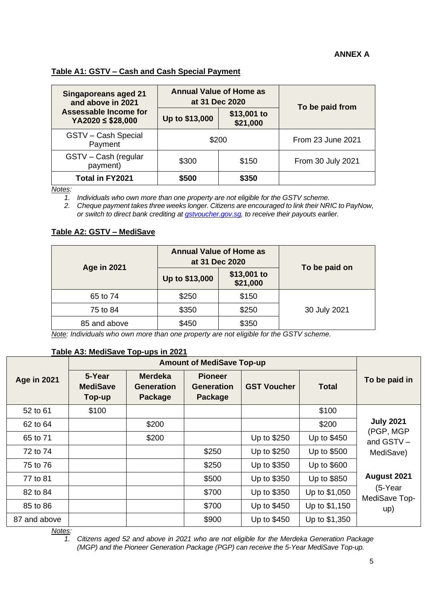# **ANNEX A**

### **Table A1: GSTV – Cash and Cash Special Payment**

| <b>Singaporeans aged 21</b><br>and above in 2021 | <b>Annual Value of Home as</b> | at 31 Dec 2020          | To be paid from   |  |
|--------------------------------------------------|--------------------------------|-------------------------|-------------------|--|
| Assessable Income for<br>$YA2020 \leq $28,000$   | Up to \$13,000                 | \$13,001 to<br>\$21,000 |                   |  |
| <b>GSTV</b> – Cash Special<br>Payment            | \$200                          |                         | From 23 June 2021 |  |
| GSTV - Cash (regular<br>payment)                 | \$300<br>\$150                 |                         | From 30 July 2021 |  |
| Total in FY2021                                  | \$500<br>\$350                 |                         |                   |  |

*Notes:* 

*1. Individuals who own more than one property are not eligible for the GSTV scheme.*

*2. Cheque payment takes three weeks longer. Citizens are encouraged to link their NRIC to PayNow, or switch to direct bank crediting at [gstvoucher.gov.sg,](http://gstvoucher.gov.sg/) to receive their payouts earlier.*

# **Table A2: GSTV – MediSave**

| <b>Age in 2021</b> | <b>Annual Value of Home as</b><br>at 31 Dec 2020 |                         | To be paid on |  |
|--------------------|--------------------------------------------------|-------------------------|---------------|--|
|                    | Up to \$13,000                                   | \$13,001 to<br>\$21,000 |               |  |
| 65 to 74           | \$250                                            | \$150                   |               |  |
| 75 to 84           | \$350                                            | \$250                   | 30 July 2021  |  |
| 85 and above       | \$450                                            | \$350                   |               |  |

*Note: Individuals who own more than one property are not eligible for the GSTV scheme.*

#### **Table A3: MediSave Top-ups in 2021**

| <b>Age in 2021</b> | 5-Year<br><b>MediSave</b><br>Top-up | <b>Merdeka</b><br><b>Pioneer</b><br><b>Generation</b><br><b>Generation</b><br>Package<br>Package |       | <b>GST Voucher</b> | <b>Total</b>  | To be paid in               |
|--------------------|-------------------------------------|--------------------------------------------------------------------------------------------------|-------|--------------------|---------------|-----------------------------|
| 52 to 61           | \$100                               |                                                                                                  |       |                    | \$100         |                             |
| 62 to 64           |                                     | \$200                                                                                            |       |                    | \$200         | <b>July 2021</b>            |
| 65 to 71           |                                     | \$200                                                                                            |       | Up to \$250        | Up to \$450   | (PGP, MGP<br>and GSTV-      |
| 72 to 74           |                                     |                                                                                                  | \$250 | Up to \$250        | Up to \$500   | MediSave)                   |
| 75 to 76           |                                     |                                                                                                  | \$250 | Up to \$350        | Up to \$600   |                             |
| 77 to 81           |                                     |                                                                                                  | \$500 | Up to \$350        | Up to \$850   | August 2021                 |
| 82 to 84           |                                     |                                                                                                  | \$700 | Up to \$350        | Up to \$1,050 | $(5-Year)$<br>MediSave Top- |
| 85 to 86           |                                     |                                                                                                  | \$700 | Up to \$450        | Up to \$1,150 | up)                         |
| 87 and above       |                                     |                                                                                                  | \$900 | Up to \$450        | Up to \$1,350 |                             |

*Notes:*

*1. Citizens aged 52 and above in 2021 who are not eligible for the Merdeka Generation Package (MGP) and the Pioneer Generation Package (PGP) can receive the 5-Year MediSave Top-up.*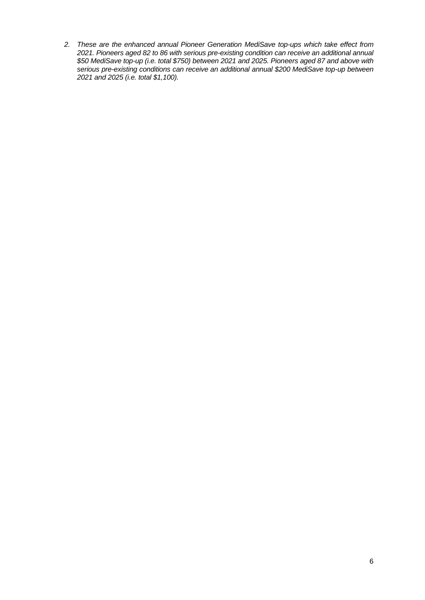*2. These are the enhanced annual Pioneer Generation MediSave top-ups which take effect from 2021. Pioneers aged 82 to 86 with serious pre-existing condition can receive an additional annual \$50 MediSave top-up (i.e. total \$750) between 2021 and 2025. Pioneers aged 87 and above with serious pre-existing conditions can receive an additional annual \$200 MediSave top-up between 2021 and 2025 (i.e. total \$1,100).*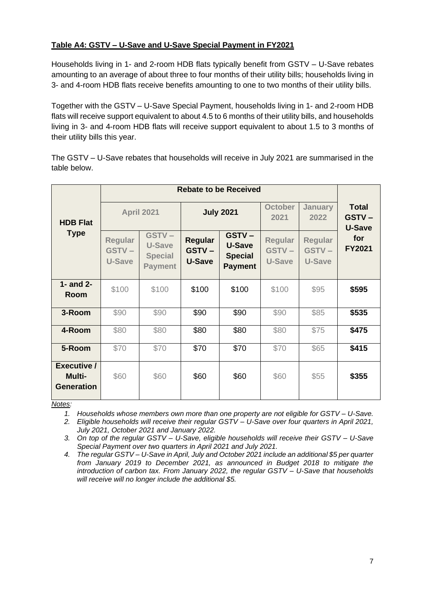# **Table A4: GSTV – U-Save and U-Save Special Payment in FY2021**

Households living in 1- and 2-room HDB flats typically benefit from GSTV – U-Save rebates amounting to an average of about three to four months of their utility bills; households living in 3- and 4-room HDB flats receive benefits amounting to one to two months of their utility bills.

Together with the GSTV – U-Save Special Payment, households living in 1- and 2-room HDB flats will receive support equivalent to about 4.5 to 6 months of their utility bills, and households living in 3- and 4-room HDB flats will receive support equivalent to about 1.5 to 3 months of their utility bills this year.

The GSTV – U-Save rebates that households will receive in July 2021 are summarised in the table below.

|                                                          | <b>Rebate to be Received</b>             |                                                                   |                                          |                                                                   |                                                 |                                                 |                                               |
|----------------------------------------------------------|------------------------------------------|-------------------------------------------------------------------|------------------------------------------|-------------------------------------------------------------------|-------------------------------------------------|-------------------------------------------------|-----------------------------------------------|
| <b>HDB Flat</b>                                          | <b>April 2021</b>                        |                                                                   | <b>July 2021</b>                         |                                                                   | <b>October</b><br>2021                          | <b>January</b><br>2022                          | <b>Total</b><br><b>GSTV-</b><br><b>U-Save</b> |
| <b>Type</b>                                              | Regular<br><b>GSTV-</b><br><b>U-Save</b> | <b>GSTV-</b><br><b>U-Save</b><br><b>Special</b><br><b>Payment</b> | <b>Regular</b><br>GSTV-<br><b>U-Save</b> | <b>GSTV-</b><br><b>U-Save</b><br><b>Special</b><br><b>Payment</b> | <b>Regular</b><br><b>GSTV-</b><br><b>U-Save</b> | <b>Regular</b><br><b>GSTV-</b><br><b>U-Save</b> | for<br><b>FY2021</b>                          |
| $1-$ and $2-$<br>Room                                    | \$100                                    | \$100                                                             | \$100                                    | \$100                                                             | \$100                                           | \$95                                            | \$595                                         |
| 3-Room                                                   | \$90                                     | \$90                                                              | \$90                                     | \$90                                                              | \$90                                            | \$85                                            | \$535                                         |
| 4-Room                                                   | \$80                                     | \$80                                                              | \$80                                     | \$80                                                              | \$80                                            | \$75                                            | \$475                                         |
| 5-Room                                                   | \$70                                     | \$70                                                              | \$70                                     | \$70                                                              | \$70                                            | \$65                                            | \$415                                         |
| <b>Executive /</b><br><b>Multi-</b><br><b>Generation</b> | \$60                                     | \$60                                                              | \$60                                     | \$60                                                              | \$60                                            | \$55                                            | \$355                                         |

*Notes:* 

*1. Households whose members own more than one property are not eligible for GSTV – U-Save.*

*2. Eligible households will receive their regular GSTV – U-Save over four quarters in April 2021, July 2021, October 2021 and January 2022.* 

*3. On top of the regular GSTV – U-Save, eligible households will receive their GSTV – U-Save Special Payment over two quarters in April 2021 and July 2021.*

*4. The regular GSTV – U-Save in April, July and October 2021 include an additional \$5 per quarter from January 2019 to December 2021, as announced in Budget 2018 to mitigate the introduction of carbon tax. From January 2022, the regular GSTV – U-Save that households will receive will no longer include the additional \$5.*